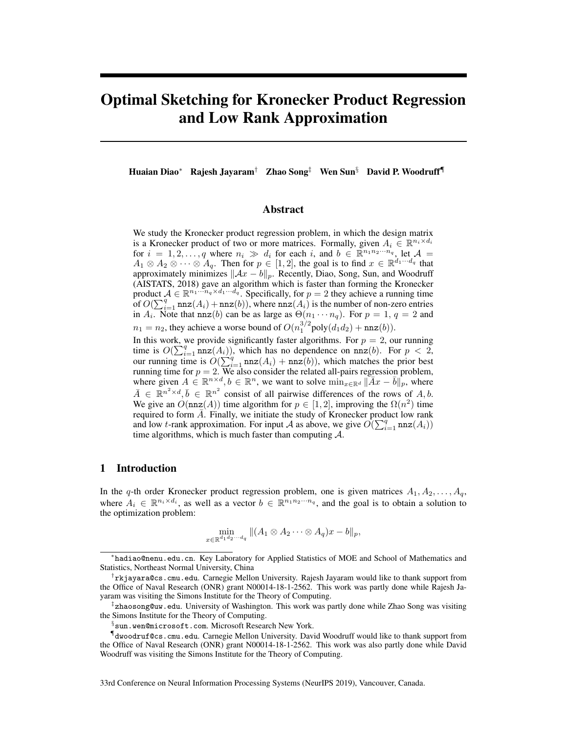# Optimal Sketching for Kronecker Product Regression and Low Rank Approximation

Huaian Diao<sup>∗</sup> Rajesh Jayaram† Zhao Song‡ Wen Sun§ David P. Woodruff¶

### Abstract

We study the Kronecker product regression problem, in which the design matrix is a Kronecker product of two or more matrices. Formally, given  $A_i \in \mathbb{R}^{n_i \times d_i}$ for  $i = 1, 2, ..., q$  where  $n_i \gg d_i$  for each i, and  $b \in \mathbb{R}^{n_1 n_2 \cdots n_q}$ , let  $\mathcal{A} =$  $A_1 \otimes A_2 \otimes \cdots \otimes A_q$ . Then for  $p \in [1,2]$ , the goal is to find  $x \in \mathbb{R}^{d_1 \cdots d_q}$  that approximately minimizes  $\|\mathcal{A}x - b\|_p$ . Recently, Diao, Song, Sun, and Woodruff (AISTATS, 2018) gave an algorithm which is faster than forming the Kronecker product  $A \in \mathbb{R}^{n_1 \cdots n_q \times d_1 \cdots d_q}$ . Specifically, for  $p = 2$  they achieve a running time of  $O(\sum_{i=1}^{q} \text{nnz}(A_i) + \text{nnz}(b))$ , where  $\text{nnz}(A_i)$  is the number of non-zero entries in  $A_i$ . Note that nnz(b) can be as large as  $\Theta(n_1 \cdots n_q)$ . For  $p = 1, q = 2$  and  $n_1 = n_2$ , they achieve a worse bound of  $O(n_1^{3/2} \text{poly}(d_1 d_2) + \text{nnz}(b)).$ 

In this work, we provide significantly faster algorithms. For  $p = 2$ , our running time is  $O(\sum_{i=1}^{q} \text{nnz}(A_i))$ , which has no dependence on  $\text{nnz}(b)$ . For  $p < 2$ , our running time is  $O(\sum_{i=1}^{q} nnz(A_i) + nnz(b))$ , which matches the prior best running time for  $p = 2$ . We also consider the related all-pairs regression problem, where given  $A \in \mathbb{R}^{n \times d}, b \in \mathbb{R}^n$ , we want to solve  $\min_{x \in \mathbb{R}^d} \|\overline{A}x - \overline{b}\|_p$ , where  $\bar{A} \in \mathbb{R}^{n^2 \times d}, \bar{b} \in \mathbb{R}^{n^2}$  consist of all pairwise differences of the rows of A, b. We give an  $O(\mathtt{nnz}(A))$  time algorithm for  $p \in [1,2]$ , improving the  $\Omega(n^2)$  time required to form  $\overline{A}$ . Finally, we initiate the study of Kronecker product low rank and low t-rank approximation. For input A as above, we give  $O(\sum_{i=1}^{q} \text{nnz}(A_i))$ time algorithms, which is much faster than computing  $A$ .

# 1 Introduction

In the q-th order Kronecker product regression problem, one is given matrices  $A_1, A_2, \ldots, A_q$ , where  $A_i \in \mathbb{R}^{n_i \times d_i}$ , as well as a vector  $b \in \mathbb{R}^{n_1 n_2 \cdots n_q}$ , and the goal is to obtain a solution to the optimization problem:

$$
\min_{x \in \mathbb{R}^{d_1 d_2 \cdots d_q}} \|(A_1 \otimes A_2 \cdots \otimes A_q)x - b\|_p,
$$

33rd Conference on Neural Information Processing Systems (NeurIPS 2019), Vancouver, Canada.

<sup>∗</sup> hadiao@nenu.edu.cn. Key Laboratory for Applied Statistics of MOE and School of Mathematics and Statistics, Northeast Normal University, China

<sup>†</sup> rkjayara@cs.cmu.edu. Carnegie Mellon University. Rajesh Jayaram would like to thank support from the Office of Naval Research (ONR) grant N00014-18-1-2562. This work was partly done while Rajesh Jayaram was visiting the Simons Institute for the Theory of Computing.

<sup>‡</sup> zhaosong@uw.edu. University of Washington. This work was partly done while Zhao Song was visiting the Simons Institute for the Theory of Computing.

 $\S$ sun.wen@microsoft.com. Microsoft Research New York.

<sup>¶</sup> dwoodruf@cs.cmu.edu. Carnegie Mellon University. David Woodruff would like to thank support from the Office of Naval Research (ONR) grant N00014-18-1-2562. This work was also partly done while David Woodruff was visiting the Simons Institute for the Theory of Computing.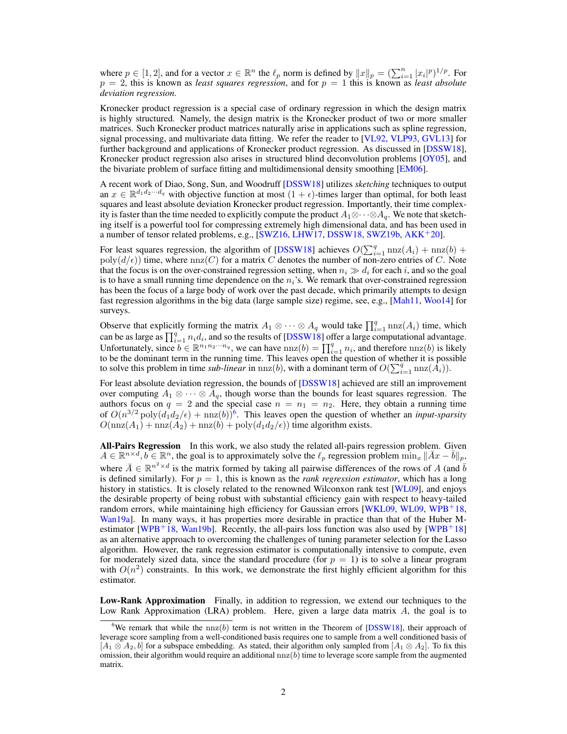where  $p \in [1, 2]$ , and for a vector  $x \in \mathbb{R}^n$  the  $\ell_p$  norm is defined by  $||x||_p = (\sum_{i=1}^n |x_i|^p)^{1/p}$ . For  $p = 2$ , this is known as *least squares regression*, and for  $p = 1$  this is known as *least absolute deviation regression*.

Kronecker product regression is a special case of ordinary regression in which the design matrix is highly structured. Namely, the design matrix is the Kronecker product of two or more smaller matrices. Such Kronecker product matrices naturally arise in applications such as spline regression, signal processing, and multivariate data fitting. We refer the reader to [VL92, VLP93, GVL13] for further background and applications of Kronecker product regression. As discussed in [DSSW18], Kronecker product regression also arises in structured blind deconvolution problems [OY05], and the bivariate problem of surface fitting and multidimensional density smoothing [EM06].

A recent work of Diao, Song, Sun, and Woodruff [DSSW18] utilizes *sketching* techniques to output an  $x \in \mathbb{R}^{d_1 d_2 \cdots d_q}$  with objective function at most  $(1 + \epsilon)$ -times larger than optimal, for both least squares and least absolute deviation Kronecker product regression. Importantly, their time complexity is faster than the time needed to explicitly compute the product  $A_1 \otimes \cdots \otimes A_q$ . We note that sketching itself is a powerful tool for compressing extremely high dimensional data, and has been used in a number of tensor related problems, e.g., [SWZ16, LHW17, DSSW18, SWZ19b, AKK+20].

For least squares regression, the algorithm of [DSSW18] achieves  $O(\sum_{i=1}^{q} \text{nnz}(A_i) + \text{nnz}(b) +$  $poly(d/\epsilon))$  time, where  $nnz(C)$  for a matrix C denotes the number of non-zero entries of C. Note that the focus is on the over-constrained regression setting, when  $n_i \gg d_i$  for each i, and so the goal is to have a small running time dependence on the  $n_i$ 's. We remark that over-constrained regression has been the focus of a large body of work over the past decade, which primarily attempts to design fast regression algorithms in the big data (large sample size) regime, see, e.g., [Mah11, Woo14] for surveys.

Observe that explicitly forming the matrix  $A_1 \otimes \cdots \otimes A_q$  would take  $\prod_{i=1}^q \text{nnz}(A_i)$  time, which can be as large as  $\prod_{i=1}^{q} n_i d_i$ , and so the results of [DSSW18] offer a large computational advantage. Unfortunately, since  $b \in \mathbb{R}^{n_1 n_2 \cdots n_q}$ , we can have  $nnz(b) = \prod_{i=1}^q n_i$ , and therefore  $nnz(b)$  is likely to be the dominant term in the running time. This leaves open the question of whether it is possible to solve this problem in time *sub-linear* in nnz(*b*), with a dominant term of  $O(\sum_{i=1}^{q} \text{nnz}(\hat{A_i}))$ .

For least absolute deviation regression, the bounds of [DSSW18] achieved are still an improvement over computing  $A_1 \otimes \cdots \otimes A_q$ , though worse than the bounds for least squares regression. The authors focus on  $q = 2$  and the special case  $n = n_1 = n_2$ . Here, they obtain a running time of  $O(n^{3/2} \text{poly}(d_1 d_2/\epsilon) + \text{nnz}(b))^6$ . This leaves open the question of whether an *input-sparsity*  $O(\text{nnz}(A_1) + \text{nnz}(A_2) + \text{nnz}(b) + \text{poly}(d_1d_2/\epsilon))$  time algorithm exists.

All-Pairs Regression In this work, we also study the related all-pairs regression problem. Given  $A \in \mathbb{R}^{n \times d}, b \in \mathbb{R}^n$ , the goal is to approximately solve the  $\ell_p$  regression problem  $\min_x ||\bar{A}x - \bar{b}||_p$ , where  $\bar{A} \in \mathbb{R}^{n^2 \times d}$  is the matrix formed by taking all pairwise differences of the rows of A (and  $\bar{b}$ is defined similarly). For  $p = 1$ , this is known as the *rank regression estimator*, which has a long history in statistics. It is closely related to the renowned Wilconxon rank test [WL09], and enjoys the desirable property of being robust with substantial efficiency gain with respect to heavy-tailed random errors, while maintaining high efficiency for Gaussian errors [WKL09, WL09, WPB+18, Wan19a]. In many ways, it has properties more desirable in practice than that of the Huber Mestimator [WPB<sup>+</sup>18, Wan19b]. Recently, the all-pairs loss function was also used by [WPB<sup>+</sup>18] as an alternative approach to overcoming the challenges of tuning parameter selection for the Lasso algorithm. However, the rank regression estimator is computationally intensive to compute, even for moderately sized data, since the standard procedure (for  $p = 1$ ) is to solve a linear program with  $O(n^2)$  constraints. In this work, we demonstrate the first highly efficient algorithm for this estimator.

Low-Rank Approximation Finally, in addition to regression, we extend our techniques to the Low Rank Approximation (LRA) problem. Here, given a large data matrix A, the goal is to

<sup>&</sup>lt;sup>6</sup>We remark that while the  $nnz(b)$  term is not written in the Theorem of [DSSW18], their approach of leverage score sampling from a well-conditioned basis requires one to sample from a well conditioned basis of  $[A_1 \otimes A_2, b]$  for a subspace embedding. As stated, their algorithm only sampled from  $[A_1 \otimes A_2]$ . To fix this omission, their algorithm would require an additional  $nnz(b)$  time to leverage score sample from the augmented matrix.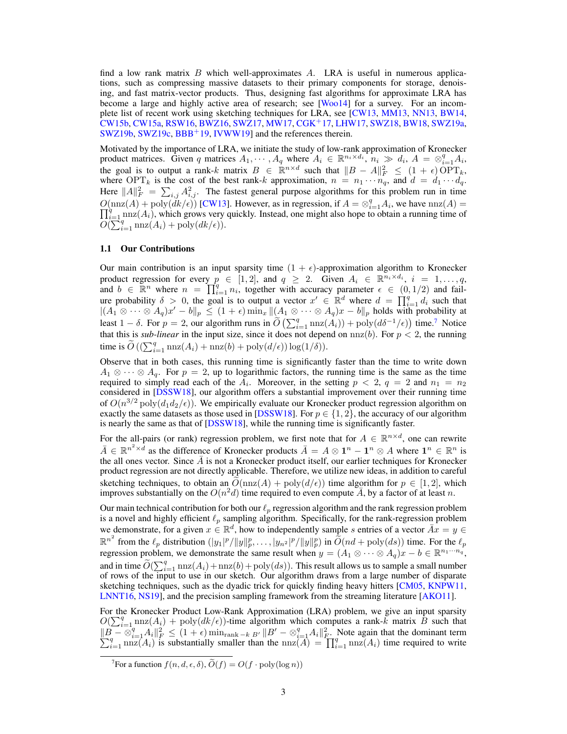find a low rank matrix  $B$  which well-approximates  $A$ . LRA is useful in numerous applications, such as compressing massive datasets to their primary components for storage, denoising, and fast matrix-vector products. Thus, designing fast algorithms for approximate LRA has become a large and highly active area of research; see [Woo14] for a survey. For an incomplete list of recent work using sketching techniques for LRA, see [CW13, MM13, NN13, BW14, CW15b, CW15a, RSW16, BWZ16, SWZ17, MW17, CGK+17, LHW17, SWZ18, BW18, SWZ19a, SWZ19b, SWZ19c, BBB<sup>+</sup>19, IVWW19] and the references therein.

Motivated by the importance of LRA, we initiate the study of low-rank approximation of Kronecker product matrices. Given q matrices  $A_1, \dots, A_q$  where  $A_i \in \mathbb{R}^{n_i \times d_i}$ ,  $n_i \gg d_i$ ,  $A = \otimes_{i=1}^q A_i$ , the goal is to output a rank-k matrix  $B \in \mathbb{R}^{n \times d}$  such that  $||B - A||_F^2 \leq (1 + \epsilon) \text{OPT}_k$ , where OPT<sub>k</sub> is the cost of the best rank-k approximation,  $n = n_1 \cdots n_q$ , and  $d = d_1 \cdots d_q$ . Here  $||A||_F^2 = \sum_{i,j} A_{i,j}^2$ . The fastest general purpose algorithms for this problem run in time  $O(\text{nnz}(A) + \text{poly}(dk/\epsilon))$  [CW13]. However, as in regression, if  $A = \otimes_{i=1}^{q} A_i$  $\Pi$  $(\text{nnz}(A) + \text{poly}(dk/\epsilon))$  [CW13]. However, as in regression, if  $A = \otimes_{i=1}^{q} A_i$ , we have  $\text{nnz}(A) = \frac{q}{k+1} \text{nnz}(A_i)$ , which grows very quickly. Instead, one might also hope to obtain a running time of  $O(\sum_{i=1}^{n} \text{nnz}(A_i) + \text{poly}(dk/\epsilon)).$ 

#### 1.1 Our Contributions

Our main contribution is an input sparsity time  $(1 + \epsilon)$ -approximation algorithm to Kronecker product regression for every  $p \in [1,2]$ , and  $q \geq 2$ . Given  $A_i \in \mathbb{R}^{n_i \times d_i}$ ,  $i = 1, \ldots, q$ , and  $b \in \mathbb{R}^n$  where  $n = \prod_{i=1}^q n_i$ , together with accuracy parameter  $\epsilon \in (0, 1/2)$  and failure probability  $\delta > 0$ , the goal is to output a vector  $x' \in \mathbb{R}^d$  where  $d = \prod_{i=1}^q d_i$  such that  $|(A_1 \otimes \cdots \otimes A_q)x' - b||_p \le (1+\epsilon) \min_x ||(A_1 \otimes \cdots \otimes A_q)x - b||_p$  holds with probability at least  $1 - \delta$ . For  $p = 2$ , our algorithm runs in  $\widetilde{O}\left(\sum_{i=1}^{q} \max(A_i)\right) + \text{poly}(d\delta^{-1}/\epsilon)\right)$  time.<sup>7</sup> Notice that this is *sub-linear* in the input size, since it does not depend on  $nnz(b)$ . For  $p < 2$ , the running time is  $\widetilde{O}\left((\sum_{i=1}^q \max(A_i) + \max(b) + \text{poly}(d/\epsilon)) \log(1/\delta)\right)$ .

Observe that in both cases, this running time is significantly faster than the time to write down  $A_1 \otimes \cdots \otimes A_q$ . For  $p = 2$ , up to logarithmic factors, the running time is the same as the time required to simply read each of the  $A_i$ . Moreover, in the setting  $p < 2$ ,  $q = 2$  and  $n_1 = n_2$ considered in [DSSW18], our algorithm offers a substantial improvement over their running time of  $O(n^{3/2} \text{poly}(d_1 d_2/\epsilon))$ . We empirically evaluate our Kronecker product regression algorithm on exactly the same datasets as those used in [DSSW18]. For  $p \in \{1, 2\}$ , the accuracy of our algorithm is nearly the same as that of [DSSW18], while the running time is significantly faster.

For the all-pairs (or rank) regression problem, we first note that for  $A \in \mathbb{R}^{n \times d}$ , one can rewrite  $\bar{A} \in \mathbb{R}^{n^2 \times d}$  as the difference of Kronecker products  $\bar{A} = A \otimes 1^n - 1^n \otimes A$  where  $1^n \in \mathbb{R}^n$  is the all ones vector. Since  $\overline{A}$  is not a Kronecker product itself, our earlier techniques for Kronecker product regression are not directly applicable. Therefore, we utilize new ideas, in addition to careful sketching techniques, to obtain an  $O(\text{nnz}(A) + \text{poly}(d/\epsilon))$  time algorithm for  $p \in [1,2]$ , which improves substantially on the  $O(n^2d)$  time required to even compute  $\overline{A}$ , by a factor of at least n.

Our main technical contribution for both our  $\ell_p$  regression algorithm and the rank regression problem is a novel and highly efficient  $\ell_p$  sampling algorithm. Specifically, for the rank-regression problem we demonstrate, for a given  $x \in \mathbb{R}^d$ , how to independently sample s entries of a vector  $\overline{Ax} = y \in$  $\mathbb{R}^{n^2}$  from the  $\ell_p$  distribution  $(|y_1|^p/||y||_p^p, \ldots, |y_{n^2}|^p/||y||_p^p)$  in  $\widetilde{O}(nd + \text{poly}(ds))$  time. For the  $\ell_p$ regression problem, we demonstrate the same result when  $y = (A_1 \otimes \cdots \otimes A_q)x - b \in \mathbb{R}^{n_1 \cdots n_q}$ , and in time  $\widetilde{O}(\sum_{i=1}^q \text{nnz}(A_i) + \text{nnz}(b) + \text{poly}(ds))$ . This result allows us to sample a small number of rows of the input to use in our sketch. Our algorithm draws from a large number of disparate sketching techniques, such as the dyadic trick for quickly finding heavy hitters [CM05, KNPW11, LNNT16, NS19], and the precision sampling framework from the streaming literature [AKO11].

For the Kronecker Product Low-Rank Approximation (LRA) problem, we give an input sparsity  $O(\sum_{i=1}^{q} \text{nnz}(A_i) + \text{poly}(dk/\epsilon))$ -time algorithm which computes a rank-k matrix B such that  $\|B - \otimes_{i=1}^q A_i\|_F^2 \le (1+\epsilon) \min_{\text{rank}-k} B' \|B' - \otimes_{i=1}^q A_i\|_F^2$ <br>  $\sum_{i=1}^q \max(A_i)$  is substantially smaller than the  $\max(A) =$  $B - \otimes_{i=1}^q A_i \|_F^2 \le (1 + \epsilon) \min_{\text{rank}-k} B' \| B' - \otimes_{i=1}^q A_i \|_F^2$ . Note again that the dominant term  $\lim_{i=1} \max(A_i)$  is substantially smaller than the  $\max(A) = \prod_{i=1}^q \max(A_i)$  time required to write

<sup>&</sup>lt;sup>7</sup>For a function  $f(n, d, \epsilon, \delta)$ ,  $\widetilde{O}(f) = O(f \cdot \text{poly}(\log n))$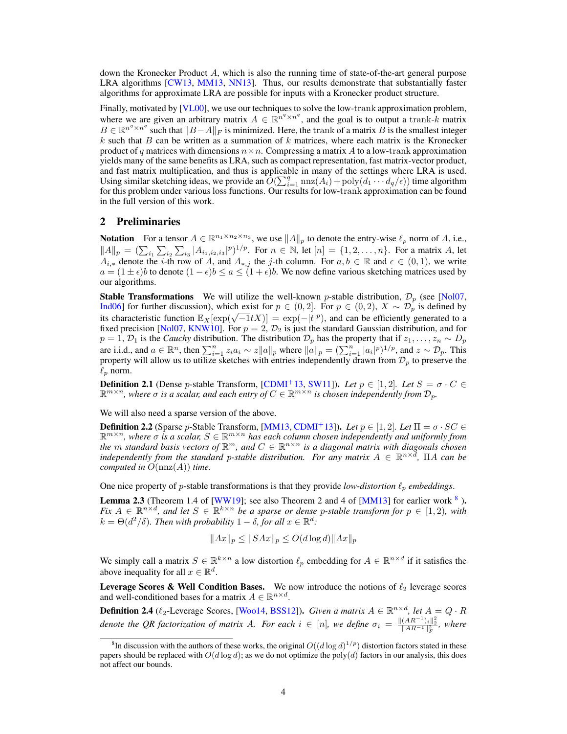down the Kronecker Product A, which is also the running time of state-of-the-art general purpose LRA algorithms [CW13, MM13, NN13]. Thus, our results demonstrate that substantially faster algorithms for approximate LRA are possible for inputs with a Kronecker product structure.

Finally, motivated by [VL00], we use our techniques to solve the low-trank approximation problem, where we are given an arbitrary matrix  $A \in \mathbb{R}^{n^q \times n^q}$ , and the goal is to output a trank-k matrix  $B \in \mathbb{R}^{n^q \times n^q}$  such that  $||B-A||_F$  is minimized. Here, the trank of a matrix B is the smallest integer  $k$  such that  $B$  can be written as a summation of  $k$  matrices, where each matrix is the Kronecker product of q matrices with dimensions  $n \times n$ . Compressing a matrix A to a low-trank approximation yields many of the same benefits as LRA, such as compact representation, fast matrix-vector product, and fast matrix multiplication, and thus is applicable in many of the settings where LRA is used. Using similar sketching ideas, we provide an  $O(\sum_{i=1}^{q} \text{nnz}(A_i) + \text{poly}(d_1 \cdots d_q/\epsilon))$  time algorithm for this problem under various loss functions. Our results for low-trank approximation can be found in the full version of this work.

#### 2 Preliminaries

**Notation** For a tensor  $A \in \mathbb{R}^{n_1 \times n_2 \times n_3}$ , we use  $||A||_p$  to denote the entry-wise  $\ell_p$  norm of A, i.e.,  $||A||_p = (\sum_{i_1} \sum_{i_2} \sum_{i_3} |A_{i_1,i_2,i_3}|^p)^{1/p}$ . For  $n \in \mathbb{N}$ , let  $[n] = \{1,2,\ldots,n\}$ . For a matrix A, let  $A_{i,*}$  denote the *i*-th row of A, and  $A_{*,j}$  the *j*-th column. For  $a, b \in \mathbb{R}$  and  $\epsilon \in (0,1)$ , we write  $a = (1 \pm \epsilon)$ b to denote  $(1 - \epsilon)b \le a \le (1 + \epsilon)b$ . We now define various sketching matrices used by our algorithms.

**Stable Transformations** We will utilize the well-known p-stable distribution,  $\mathcal{D}_p$  (see [Nol07, Ind06] for further discussion), which exist for  $p \in (0,2]$ . For  $p \in (0,2)$ ,  $X \sim \mathcal{D}_p$  is defined by indoof for future discussion), which exist for  $p \in (0, 2]$ . For  $p \in (0, 2)$ ,  $\Lambda \sim \nu_p$  is defined by its characteristic function  $\mathbb{E}_X[\exp(\sqrt{-1}tX)] = \exp(-|t|^p)$ , and can be efficiently generated to a fixed precision [Nol07, KNW10]. For  $p = 2$ ,  $\mathcal{D}_2$  is just the standard Gaussian distribution, and for  $p = 1, \mathcal{D}_1$  is the *Cauchy* distribution. The distribution  $\mathcal{D}_p$  has the property that if  $z_1, \ldots, z_n \sim D_p$ are i.i.d., and  $a \in \mathbb{R}^n$ , then  $\sum_{i=1}^n z_i a_i \sim z ||a||_p$  where  $||a||_p = (\sum_{i=1}^n |a_i|^p)^{1/p}$ , and  $z \sim \mathcal{D}_p$ . This property will allow us to utilize sketches with entries independently drawn from  $\mathcal{D}_p$  to preserve the  $\ell_p$  norm.

**Definition 2.1** (Dense p-stable Transform, [CDMI<sup>+</sup>13, SW11]). Let  $p \in [1, 2]$ . Let  $S = \sigma \cdot C \in$  $\mathbb{R}^{m\times n}$ , where  $\sigma$  is a scalar, and each entry of  $C\in\mathbb{R}^{m\times n}$  is chosen independently from  $\mathcal{D}_p$ .

We will also need a sparse version of the above.

**Definition 2.2** (Sparse p-Stable Transform, [MM13, CDMI<sup>+</sup>13]). Let  $p \in [1, 2]$ . Let  $\Pi = \sigma \cdot SC \in$  $\mathbb{R}^{m \times n}$ , where  $\sigma$  is a scalar,  $S \in \mathbb{R}^{m \times n}$  has each column chosen independently and uniformly from the  $m$  standard basis vectors of  $\mathbb{R}^m$ , and  $C \in \mathbb{R}^{n \times n}$  is a diagonal matrix with diagonals chosen independently from the standard p-stable distribution. For any matrix  $A \in \mathbb{R}^{n \times d}$ ,  $\Pi A$  can be *computed in*  $O(\text{nnz}(A))$  *time.* 

One nice property of *p*-stable transformations is that they provide *low-distortion*  $\ell_p$  *embeddings*.

**Lemma 2.3** (Theorem 1.4 of [WW19]; see also Theorem 2 and 4 of [MM13] for earlier work  $8$ ). *Fix*  $A \in \mathbb{R}^{n \times d}$ , and let  $S \in \mathbb{R}^{k \times n}$  be a sparse or dense p-stable transform for  $p \in [1, 2)$ , with  $k = \Theta(d^2/\delta)$ . Then with probability  $1 - \delta$ , for all  $x \in \mathbb{R}^d$ :

$$
||Ax||_p \le ||SAx||_p \le O(d \log d) ||Ax||_p
$$

We simply call a matrix  $S \in \mathbb{R}^{k \times n}$  a low distortion  $\ell_p$  embedding for  $A \in \mathbb{R}^{n \times d}$  if it satisfies the above inequality for all  $x \in \mathbb{R}^d$ .

**Leverage Scores & Well Condition Bases.** We now introduce the notions of  $\ell_2$  leverage scores and well-conditioned bases for a matrix  $A \in \mathbb{R}^{n \times d}$ .

**Definition 2.4** ( $\ell_2$ -Leverage Scores, [Woo14, BSS12]). *Given a matrix*  $A \in \mathbb{R}^{n \times d}$ , let  $A = Q \cdot R$ *denote the QR factorization of matrix A. For each*  $i \in [n]$ , we define  $\sigma_i = \frac{\|(AR^{-1})_i\|_2^2}{\|AR^{-1}\|_F^2}$ , where

<sup>&</sup>lt;sup>8</sup>In discussion with the authors of these works, the original  $O((d \log d)^{1/p})$  distortion factors stated in these papers should be replaced with  $O(d \log d)$ ; as we do not optimize the poly(d) factors in our analysis, this does not affect our bounds.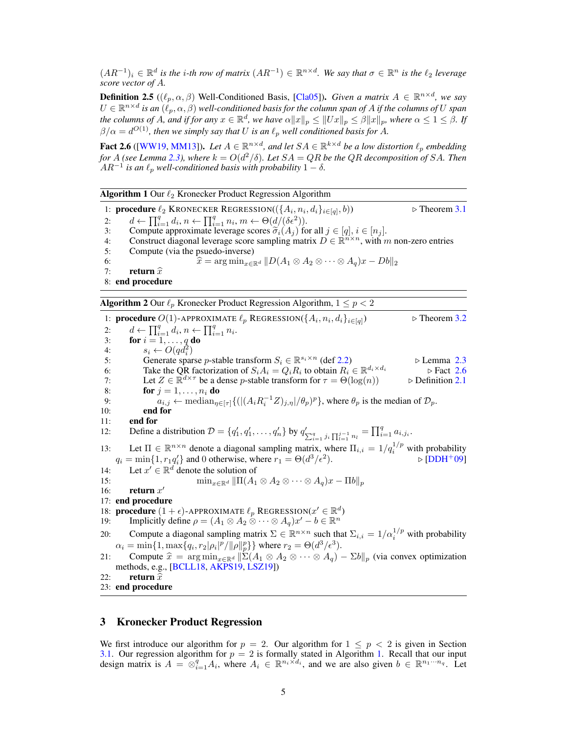$(AR^{-1})_i$  ∈  $\mathbb{R}^d$  *is the i-th row of matrix*  $(AR^{-1})$  ∈  $\mathbb{R}^{n \times d}$ *. We say that*  $\sigma \in \mathbb{R}^n$  *is the*  $\ell_2$  *leverage score vector of* A*.*

**Definition 2.5** ( $(\ell_p, \alpha, \beta)$  Well-Conditioned Basis, [Cla05]). *Given a matrix*  $A \in \mathbb{R}^{n \times d}$ , we say  $U \in \mathbb{R}^{n \times d}$  is an  $(\ell_p, \alpha, \beta)$  well-conditioned basis for the column span of A if the columns of  $U$  span *the columns of A, and if for any*  $x \in \mathbb{R}^d$ , we have  $\alpha \|x\|_p \leq \|Ux\|_p \leq \beta \|x\|_p$ , where  $\alpha \leq 1 \leq \beta$ . If  $\beta/\alpha = d^{O(1)}$ , then we simply say that U is an  $\ell_p$  well conditioned basis for A.

**Fact 2.6** ([WW19, MM13]). Let  $A \in \mathbb{R}^{n \times d}$ , and let  $SA \in \mathbb{R}^{k \times d}$  be a low distortion  $\ell_p$  embedding *for* A (see Lemma 2.3), where  $k = O(d^2/\delta)$ . Let  $SA = QR$  be the  $QR$  decomposition of SA. Then  $AR^{-1}$  *is an*  $\ell_p$  *well-conditioned basis with probability*  $1 - \delta$ *.* 

|  |  |  |  | <b>Algorithm 1</b> Our $\ell_2$ Kronecker Product Regression Algorithm |  |
|--|--|--|--|------------------------------------------------------------------------|--|
|--|--|--|--|------------------------------------------------------------------------|--|

1: **procedure**  $\ell_2$  KRONECKER REGRESSION( $({A_i, n_i, d_i}_{i \in [q]})$  $\triangleright$  Theorem 3.1 2:  $d \leftarrow \prod_{i=1}^{q} d_i, n \leftarrow \prod_{i=1}^{q} n_i, m \leftarrow \Theta(d/(\delta \epsilon^2)).$ 3: Compute approximate leverage scores  $\widetilde{\sigma}_i(A_j)$  for all  $j \in [q], i \in [n_j]$ .<br>4. Construct diagonal leverage score sampling matrix  $D \in \mathbb{R}^{n \times n}$  with r 4: Construct diagonal leverage score sampling matrix  $D \in \mathbb{R}^{n \times n}$ , with m non-zero entries 5: Compute (via the psuedo-inverse) 6:  $\widehat{x} = \arg \min_{x \in \mathbb{R}^d} \|D(A_1 \otimes A_2 \otimes \cdots \otimes A_q)x - Db\|_2$ <br>7: **return**  $\widehat{x}$ 7: return  $\widehat{x}$ 8: end procedure

**Algorithm 2** Our  $\ell_p$  Kronecker Product Regression Algorithm,  $1 \leq p < 2$ 

1: **procedure**  $O(1)$ -APPROXIMATE  $\ell_p$  REGRESSION( $\{A_i, n_i, d_i\}_{i \in [q]}$  $\triangleright$  Theorem 3.2 2:  $d \leftarrow \prod_{i=1}^q d_i, n \leftarrow \prod_{i=1}^q n_i.$ 3: for  $i = 1, \ldots, q$  do 4:  $s_i \leftarrow O(q d_i^2)$ 5: Generate sparse p-stable transform  $S_i \in \mathbb{R}^{s_i \times n}$  (def 2.2)  $\triangleright$  Lemma 2.3 6: Take the QR factorization of  $S_i A_i = Q_i R_i$  to obtain  $R_i \in \mathbb{R}$  $\triangleright$  Fact 2.6 7: Let  $Z \in \mathbb{R}^{d \times \tau}$  be a dense p-stable transform for  $\tau = \Theta(\log(n))$   $\Rightarrow$  Definition 2.1 8: **for**  $j = 1, \ldots, n_i$  **do** 9:  $a_{i,j} \leftarrow \text{median}_{\eta \in [\tau]} \{ (|(A_i R_i^{-1} Z)_{j,\eta} | (\theta_p)^p \}, \text{ where } \theta_p \text{ is the median of } \mathcal{D}_p.$ 10: end for 11: end for 12: Define a distribution  $\mathcal{D} = \{q'_1, q'_1, \dots, q'_n\}$  by  $q'_{\sum_{i=1}^q j_i} \prod_{i=1}^{j-1} n_i = \prod_{i=1}^q a_{i,j_i}$ . 13: Let  $\Pi \in \mathbb{R}^{n \times n}$  denote a diagonal sampling matrix, where  $\Pi_{i,i} = 1/q_i^{1/p}$  with probability  $q_i = \min\{1, r_1 q'_i\}$  and 0 otherwise, where  $r_1 = \Theta(d^3/\epsilon^2)$  $\triangleright$  [DDH+09] 14: Let  $x' \in \mathbb{R}^d$  denote the solution of 15:  $\min_{x \in \mathbb{R}^d} \|\Pi(A_1 \otimes A_2 \otimes \cdots \otimes A_q)x - \Pi b\|_p$ 16: **return**  $x'$ 17: end procedure 18: **procedure**  $(1 + \epsilon)$ -APPROXIMATE  $\ell_p$  REGRESSION( $x' \in \mathbb{R}^d$ ) 19: Implicitly define  $\rho = (A_1 \otimes A_2 \otimes \cdots \otimes A_q)x' - b \in \mathbb{R}^n$ 20: Compute a diagonal sampling matrix  $\Sigma \in \mathbb{R}^{n \times n}$  such that  $\Sigma_{i,i} = 1/\alpha_i^{1/p}$  with probability  $\alpha_i = \min\{1, \max\{q_i, r_2|\rho_i|^p/\|\rho\|_p^p\}\}\$ where  $r_2 = \Theta(d^3/\epsilon^3)$ . 21: Compute  $\hat{x} = \arg \min_{x \in \mathbb{R}^d} \|\Sigma(A_1 \otimes A_2 \otimes \cdots \otimes A_q) - \Sigma b\|_p$  (via convex optimization methods, e.g., [BCLL18, AKPS19, LSZ19]) 22: return  $\widehat{x}$ <br>23: end procedure

# 3 Kronecker Product Regression

We first introduce our algorithm for  $p = 2$ . Our algorithm for  $1 \leq p < 2$  is given in Section 3.1. Our regression algorithm for  $p = 2$  is formally stated in Algorithm 1. Recall that our input design matrix is  $A = \otimes_{i=1}^q A_i$ , where  $A_i \in \mathbb{R}^{n_i \times d_i}$ , and we are also given  $b \in \mathbb{R}^{n_1 \cdots n_q}$ . Let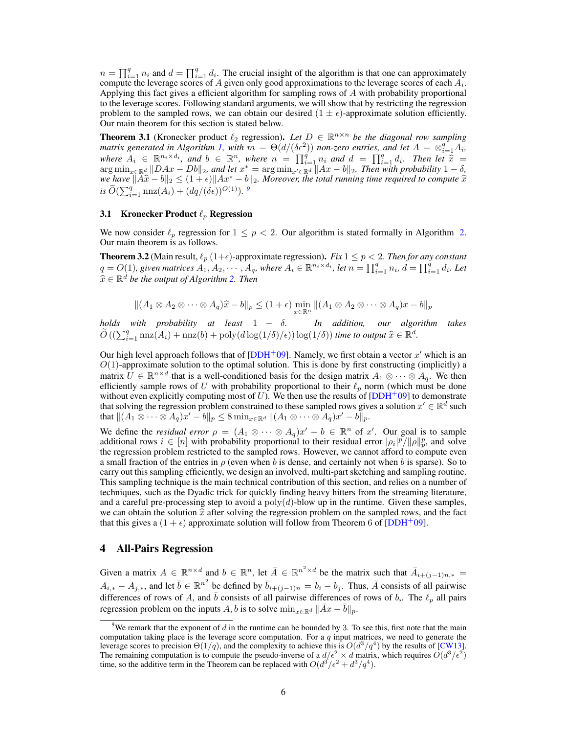$n = \prod_{i=1}^{q} n_i$  and  $d = \prod_{i=1}^{q} d_i$ . The crucial insight of the algorithm is that one can approximately compute the leverage scores of A given only good approximations to the leverage scores of each  $A_i$ . Applying this fact gives a efficient algorithm for sampling rows of A with probability proportional to the leverage scores. Following standard arguments, we will show that by restricting the regression problem to the sampled rows, we can obtain our desired  $(1 \pm \epsilon)$ -approximate solution efficiently. Our main theorem for this section is stated below.

**Theorem 3.1** (Kronecker product  $\ell_2$  regression). Let  $D \in \mathbb{R}^{n \times n}$  be the diagonal row sampling *matrix generated in Algorithm 1, with*  $m = \Theta(d/(\delta \epsilon^2))$  *non-zero entries, and let*  $A = \otimes_{i=1}^q A_i$ , where  $A_i \in \mathbb{R}^{n_i \times d_i}$ , and  $b \in \mathbb{R}^n$ , where  $n = \prod_{i=1}^q n_i$  and  $d = \prod_{i=1}^q d_i$ . Then let  $\hat{x} = \arg \min_{x \in \mathbb{R}^d} ||DAx - Db||_2$ , and let  $x^* = \arg \min_{x' \in \mathbb{R}^d} ||Ax - b||_2$ . Then with probability  $1 - \delta$ , *we have*  $\|\widehat{A}\widehat{x} - b\|_2 \leq (1 + \epsilon) \|Ax^* - b\|_2$ . Moreover, the total running time required to compute  $\widehat{x}$ <br>i:  $\widetilde{\phi}(\sum g_{\text{max}}(A)) + (Ax/(8\lambda)Q(1)) \cdot g$  $i\tilde{\theta}(\sum_{i=1}^{q} \max(A_i) + (dq/(\delta\epsilon))^{O(1)})$ .

# 3.1 Kronecker Product  $\ell_p$  Regression

We now consider  $\ell_p$  regression for  $1 \leq p < 2$ . Our algorithm is stated formally in Algorithm 2. Our main theorem is as follows.

**Theorem 3.2** (Main result,  $\ell_p$  (1+ $\epsilon$ )-approximate regression). *Fix* 1  $\leq p < 2$ . *Then for any constant*  $q = O(1)$ , given matrices  $A_1, A_2, \cdots, A_q$ , where  $A_i \in \mathbb{R}^{n_i \times d_i}$ , let  $n = \prod_{i=1}^q n_i$ ,  $d = \prod_{i=1}^q d_i$ . Let  $\widehat{x} \in \mathbb{R}^d$  be the output of Algorithm 2. Then

$$
||(A_1 \otimes A_2 \otimes \cdots \otimes A_q)\hat{x} - b||_p \le (1 + \epsilon) \min_{x \in \mathbb{R}^n}||(A_1 \otimes A_2 \otimes \cdots \otimes A_q)x - b||_p
$$

*holds with probability at least* 1 − δ*. In addition, our algorithm takes*  $\widetilde{O}\left((\sum_{i=1}^q \text{nnz}(A_i) + \text{nnz}(b) + \text{poly}(d \log(1/\delta)/\epsilon)\right) \log(1/\delta))$  *time to output*  $\widehat{x} \in \mathbb{R}^d$ .

Our high level approach follows that of  $[DDH^+09]$ . Namely, we first obtain a vector  $x'$  which is an  $O(1)$ -approximate solution to the optimal solution. This is done by first constructing (implicitly) a matrix  $\hat{U} \in \mathbb{R}^{n \times d}$  that is a well-conditioned basis for the design matrix  $A_1 \otimes \cdots \otimes A_q$ . We then efficiently sample rows of U with probability proportional to their  $\ell_p$  norm (which must be done without even explicitly computing most of  $U$ ). We then use the results of  $[DDH^+09]$  to demonstrate that solving the regression problem constrained to these sampled rows gives a solution  $x' \in \mathbb{R}^d$  such that  $\|(A_1\otimes \cdots \otimes A_q)x'-b\|_p\leq 8\min_{x\in \mathbb{R}^d} \|(A_1\otimes \cdots \otimes A_q)x'-b\|_p.$ 

We define the *residual error*  $\rho = (A_1 \otimes \cdots \otimes A_q)x' - b \in \mathbb{R}^n$  of x'. Our goal is to sample additional rows  $i \in [n]$  with probability proportional to their residual error  $|\rho_i|^p/||\rho||_p^p$ , and solve the regression problem restricted to the sampled rows. However, we cannot afford to compute even a small fraction of the entries in  $\rho$  (even when b is dense, and certainly not when b is sparse). So to carry out this sampling efficiently, we design an involved, multi-part sketching and sampling routine. This sampling technique is the main technical contribution of this section, and relies on a number of techniques, such as the Dyadic trick for quickly finding heavy hitters from the streaming literature, and a careful pre-processing step to avoid a  $poly(d)$ -blow up in the runtime. Given these samples, we can obtain the solution  $\hat{x}$  after solving the regression problem on the sampled rows, and the fact that this gives a  $(1 + \epsilon)$  approximate solution will follow from Theorem 6 of [DDH+09].

# 4 All-Pairs Regression

Given a matrix  $A \in \mathbb{R}^{n \times d}$  and  $b \in \mathbb{R}^n$ , let  $\overline{A} \in \mathbb{R}^{n^2 \times d}$  be the matrix such that  $\overline{A}_{i+(j-1)n,*}$  $A_{i,*} - A_{j,*}$ , and let  $\bar{b} \in \mathbb{R}^{n^2}$  be defined by  $\bar{b}_{i+(j-1)n} = b_i - b_j$ . Thus,  $\bar{A}$  consists of all pairwise differences of rows of A, and  $\bar{b}$  consists of all pairwise differences of rows of b,. The  $\ell_p$  all pairs regression problem on the inputs A, b is to solve  $\min_{x \in \mathbb{R}^d} ||Ax - b||_p$ .

<sup>&</sup>lt;sup>9</sup>We remark that the exponent of  $d$  in the runtime can be bounded by 3. To see this, first note that the main computation taking place is the leverage score computation. For a  $q$  input matrices, we need to generate the leverage scores to precision  $\Theta(1/q)$ , and the complexity to achieve this is  $O(d^3/q^4)$  by the results of [CW13]. The remaining computation is to compute the pseudo-inverse of a  $d/\epsilon^2 \times d$  matrix, which requires  $O(d^3/\epsilon^2)$ time, so the additive term in the Theorem can be replaced with  $O(d^3/\epsilon^2 + d^3/q^4)$ .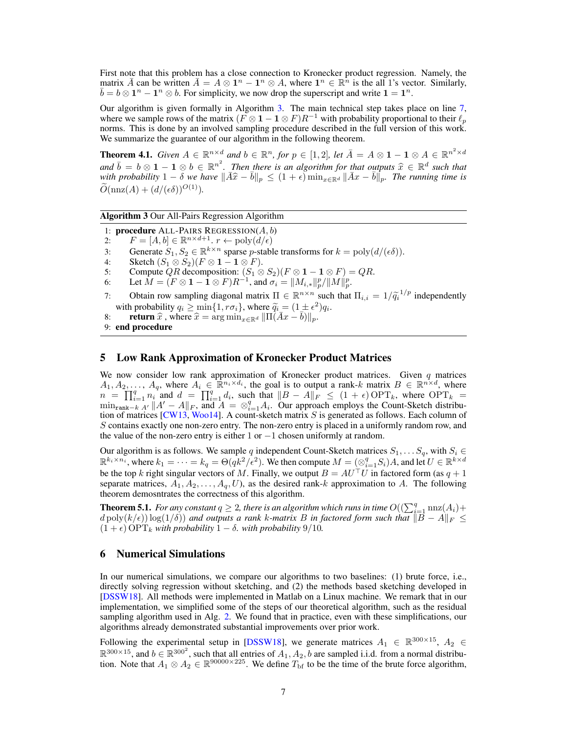First note that this problem has a close connection to Kronecker product regression. Namely, the matrix  $\bar{A}$  can be written  $\bar{A} = A \otimes 1^n - 1^n \otimes A$ , where  $1^n \in \mathbb{R}^n$  is the all 1's vector. Similarly,  $\bar{b} = b \otimes 1^n - 1^n \otimes b$ . For simplicity, we now drop the superscript and write  $1 = 1^n$ .

Our algorithm is given formally in Algorithm 3. The main technical step takes place on line 7, where we sample rows of the matrix  $(F \otimes 1 - 1 \otimes F)R^{-1}$  with probability proportional to their  $\ell_p$ norms. This is done by an involved sampling procedure described in the full version of this work. We summarize the guarantee of our algorithm in the following theorem.

**Theorem 4.1.** *Given*  $A \in \mathbb{R}^{n \times d}$  *and*  $b \in \mathbb{R}^n$ *, for*  $p \in [1,2]$ *, let*  $\overline{A} = A \otimes \mathbf{1} - \mathbf{1} \otimes A \in \mathbb{R}^{n^2 \times d}$ *and*  $\bar{b} = b \otimes 1 - 1 \otimes b \in \mathbb{R}^{n^2}$ . Then there is an algorithm for that outputs  $\hat{x} \in \mathbb{R}^d$  such that with probability  $1 - \delta$  we have  $\|\bar{A}\hat{x} - \bar{b}\| \leq (1 + \epsilon) \min_{x \in \mathbb{R}^d} \|\bar{A}x - \bar{b}\|$ . The running time *with probability*  $1 - \overline{\delta}$  *we have*  $\|\overline{A}\hat{x} - \overline{b}\|_p \leq (1 + \epsilon) \min_{x \in \mathbb{R}^d} \|\overline{A}x - \overline{b}\|_p$ . The running time is  $\widetilde{\partial}(\cos(A) + (A(\sqrt{S}))\partial(1))$  $\widetilde{O}(\text{nnz}(A) + (d/(\epsilon \delta))^{O(1)}).$ 

Algorithm 3 Our All-Pairs Regression Algorithm

- 1: procedure ALL-PAIRS REGRESSION $(A, b)$
- 2:  $F = [A, b] \in \mathbb{R}^{n \times d+1}$ .  $r \leftarrow \text{poly}(d/\epsilon)$
- 3: Generate  $S_1, S_2 \in \mathbb{R}^{k \times n}$  sparse *p*-stable transforms for  $k = \text{poly}(d/(\epsilon \delta)).$
- 4: Sketch  $(S_1 \otimes S_2)(F \otimes 1 1 \otimes F)$ .<br>5: Compute QR decomposition:  $(S_1 \otimes$
- 5: Compute QR decomposition:  $(S_1 \otimes S_2)(F \otimes 1 1 \otimes F) = QR$ .
- 6: Let  $\hat{M} = (\hat{F} \otimes 1 \hat{1} \otimes F)R^{-1}$ , and  $\sigma_i = ||M_{i,*}||_p^p / ||M||_p^p$ .
- 7: Obtain row sampling diagonal matrix  $\Pi \in \mathbb{R}^{n \times n}$  such that  $\Pi_{i,i} = 1/\tilde{q}_i^{-1/p}$  independently<br>with probability  $a_i > \min\{1, r\sigma_i\}$ , where  $\tilde{a}_i = (1 + \epsilon^2)a_i$ . with probability  $q_i \ge \min\{1, r\sigma_i\}$ , where  $\tilde{q}_i = (1 \pm \epsilon^2)q_i$ .<br>
return  $\hat{x}$  where  $\hat{x}$  = arg min and  $\Pi(\bar{A}x - \bar{b})$
- 8: **return**  $\hat{x}$ , where  $\hat{x} = \arg \min_{x \in \mathbb{R}^d} ||\Pi(\bar{A}x \bar{b})||_p$ .
- 9: end procedure

#### 5 Low Rank Approximation of Kronecker Product Matrices

We now consider low rank approximation of Kronecker product matrices. Given  $q$  matrices  $A_1, A_2, \ldots, A_q$ , where  $A_i \in \mathbb{R}^{n_i \times d_i}$ , the goal is to output a rank-k matrix  $B \in \mathbb{R}^{n \times d}$ , where  $n = \prod_{i=1}^{q} n_i$  and  $d = \prod_{i=1}^{q} d_i$ , such that  $||B - A||_F \leq (1 + \epsilon) \text{OPT}_k$ , where  $\text{OPT}_k =$  $\min_{\text{rank}-k \cdot A'} \Vert A' - A \Vert_F$ , and  $A = \otimes_{i=1}^q A_i$ . Our approach employs the Count-Sketch distribution of matrices [CW13, Woo14]. A count-sketch matrix  $S$  is generated as follows. Each column of S contains exactly one non-zero entry. The non-zero entry is placed in a uniformly random row, and the value of the non-zero entry is either 1 or  $-1$  chosen uniformly at random.

Our algorithm is as follows. We sample q independent Count-Sketch matrices  $S_1, \ldots S_q$ , with  $S_i \in$  $\mathbb{R}^{k_i \times n_i}$ , where  $k_1 = \cdots = k_q = \Theta(qk^2/\epsilon^2)$ . We then compute  $M = (\otimes_{i=1}^q S_i)A$ , and let  $U \in \mathbb{R}^{k \times d}$ be the top k right singular vectors of M. Finally, we output  $B = AU<sup>T</sup>U$  in factored form (as  $q + 1$ ) separate matrices,  $A_1, A_2, \ldots, A_q, U$ , as the desired rank-k approximation to A. The following theorem demosntrates the correctness of this algorithm.

**Theorem 5.1.** For any constant  $q \geq 2$ , there is an algorithm which runs in time  $O((\sum_{i=1}^{q} \text{nnz}(A_i)+$  $d \text{poly}(k/\epsilon)) \log(1/\delta)$  *and outputs a rank k-matrix B in factored form such that*  $||\overline{B} - A||_F \le$  $(1 + \epsilon)$  OPT<sub>k</sub> with probability  $1 - \delta$ *. with probability* 9/10*.* 

#### 6 Numerical Simulations

In our numerical simulations, we compare our algorithms to two baselines: (1) brute force, i.e., directly solving regression without sketching, and (2) the methods based sketching developed in [DSSW18]. All methods were implemented in Matlab on a Linux machine. We remark that in our implementation, we simplified some of the steps of our theoretical algorithm, such as the residual sampling algorithm used in Alg. 2. We found that in practice, even with these simplifications, our algorithms already demonstrated substantial improvements over prior work.

Following the experimental setup in [DSSW18], we generate matrices  $A_1 \in \mathbb{R}^{300 \times 15}$ ,  $A_2 \in$  $\mathbb{R}^{300\times15}$ , and  $b \in \mathbb{R}^{300^2}$ , such that all entries of  $A_1, A_2, b$  are sampled i.i.d. from a normal distribution. Note that  $A_1 \otimes A_2 \in \mathbb{R}^{90000 \times 225}$ . We define  $T_{\text{bf}}$  to be the time of the brute force algorithm,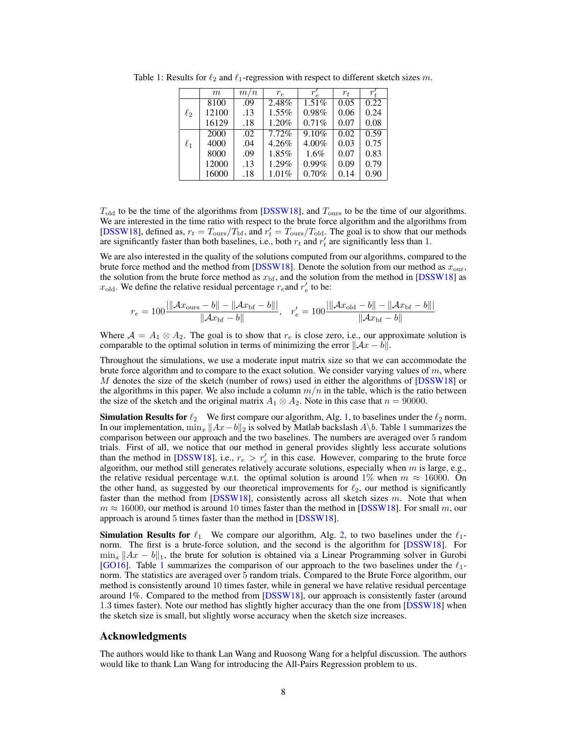|          | m     | m/n | $r_e$    | $\boldsymbol{r}$ | $r_{t}$ | $r_{\rm t}'$ |
|----------|-------|-----|----------|------------------|---------|--------------|
|          | 8100  | .09 | 2.48%    | $1.51\%$         | 0.05    | 0.22         |
| $\ell_2$ | 12100 | .13 | $1.55\%$ | 0.98%            | 0.06    | 0.24         |
|          | 16129 | .18 | 1.20%    | 0.71%            | 0.07    | 0.08         |
|          | 2000  | .02 | 7.72%    | 9.10%            | 0.02    | 0.59         |
| $\ell_1$ | 4000  | .04 | 4.26%    | 4.00%            | 0.03    | 0.75         |
|          | 8000  | .09 | 1.85%    | $1.6\%$          | 0.07    | 0.83         |
|          | 12000 | .13 | 1.29%    | 0.99%            | 0.09    | 0.79         |
|          | 16000 | .18 | $1.01\%$ | 0.70%            | 0.14    | 0.90         |

Table 1: Results for  $\ell_2$  and  $\ell_1$ -regression with respect to different sketch sizes m.

 $T_{\text{old}}$  to be the time of the algorithms from [DSSW18], and  $T_{\text{ours}}$  to be the time of our algorithms. We are interested in the time ratio with respect to the brute force algorithm and the algorithms from [DSSW18], defined as,  $r_t = T_{\text{ours}}/T_{\text{bf}}$ , and  $r'_t = T_{\text{ours}}/T_{\text{old}}$ . The goal is to show that our methods are significantly faster than both baselines, i.e., both  $r_t$  and  $r'_t$  are significantly less than 1.

We are also interested in the quality of the solutions computed from our algorithms, compared to the brute force method and the method from [DSSW18]. Denote the solution from our method as  $x_{\text{our}}$ , the solution from the brute force method as  $x_{\text{bf}}$ , and the solution from the method in [DSSW18] as  $x_{old}$ . We define the relative residual percentage  $r_e$  and  $r'_e$  to be:

$$
r_e = 100 \frac{\|Ax_{\text{ours}} - b\| - \|Ax_{\text{bf}} - b\|}{\|Ax_{\text{bf}} - b\|}, \quad r'_e = 100 \frac{\|Ax_{\text{old}} - b\| - \|Ax_{\text{bf}} - b\|}{\|Ax_{\text{bf}} - b\|}
$$

Where  $A = A_1 \otimes A_2$ . The goal is to show that  $r_e$  is close zero, i.e., our approximate solution is comparable to the optimal solution in terms of minimizing the error  $\|\mathcal{A}x - b\|$ .

Throughout the simulations, we use a moderate input matrix size so that we can accommodate the brute force algorithm and to compare to the exact solution. We consider varying values of  $m$ , where M denotes the size of the sketch (number of rows) used in either the algorithms of [DSSW18] or the algorithms in this paper. We also include a column  $m/n$  in the table, which is the ratio between the size of the sketch and the original matrix  $A_1 \otimes A_2$ . Note in this case that  $n = 90000$ .

**Simulation Results for**  $\ell_2$  We first compare our algorithm, Alg. 1, to baselines under the  $\ell_2$  norm. In our implementation,  $\min_x ||Ax-b||_2$  is solved by Matlab backslash  $A\backslash b$ . Table 1 summarizes the comparison between our approach and the two baselines. The numbers are averaged over 5 random trials. First of all, we notice that our method in general provides slightly less accurate solutions than the method in [DSSW18], i.e.,  $r_e > r_e'$  in this case. However, comparing to the brute force algorithm, our method still generates relatively accurate solutions, especially when  $m$  is large, e.g., the relative residual percentage w.r.t. the optimal solution is around 1% when  $m \approx 16000$ . On the other hand, as suggested by our theoretical improvements for  $\ell_2$ , our method is significantly faster than the method from [DSSW18], consistently across all sketch sizes  $m$ . Note that when  $m \approx 16000$ , our method is around 10 times faster than the method in [DSSW18]. For small m, our approach is around 5 times faster than the method in [DSSW18].

**Simulation Results for**  $\ell_1$  We compare our algorithm, Alg. 2, to two baselines under the  $\ell_1$ norm. The first is a brute-force solution, and the second is the algorithm for [DSSW18]. For  $\min_x ||Ax - b||_1$ , the brute for solution is obtained via a Linear Programming solver in Gurobi [GO16]. Table 1 summarizes the comparison of our approach to the two baselines under the  $\ell_1$ norm. The statistics are averaged over 5 random trials. Compared to the Brute Force algorithm, our method is consistently around 10 times faster, while in general we have relative residual percentage around 1%. Compared to the method from [DSSW18], our approach is consistently faster (around 1.3 times faster). Note our method has slightly higher accuracy than the one from [DSSW18] when the sketch size is small, but slightly worse accuracy when the sketch size increases.

#### Acknowledgments

The authors would like to thank Lan Wang and Ruosong Wang for a helpful discussion. The authors would like to thank Lan Wang for introducing the All-Pairs Regression problem to us.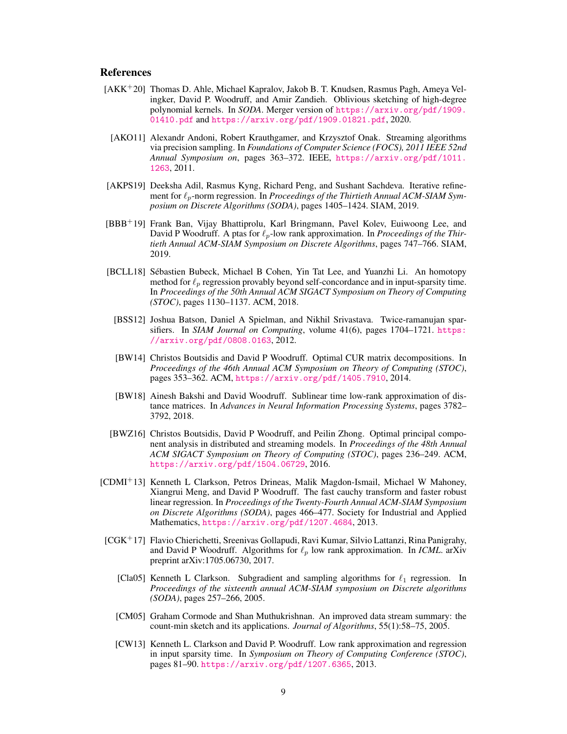## **References**

- [AKK+20] Thomas D. Ahle, Michael Kapralov, Jakob B. T. Knudsen, Rasmus Pagh, Ameya Velingker, David P. Woodruff, and Amir Zandieh. Oblivious sketching of high-degree polynomial kernels. In *SODA*. Merger version of [https://arxiv.org/pdf/1909.](https://arxiv.org/pdf/1909.01410.pdf) [01410.pdf](https://arxiv.org/pdf/1909.01410.pdf) and <https://arxiv.org/pdf/1909.01821.pdf>, 2020.
	- [AKO11] Alexandr Andoni, Robert Krauthgamer, and Krzysztof Onak. Streaming algorithms via precision sampling. In *Foundations of Computer Science (FOCS), 2011 IEEE 52nd Annual Symposium on*, pages 363–372. IEEE, [https://arxiv.org/pdf/1011.](https://arxiv.org/pdf/1011.1263) [1263](https://arxiv.org/pdf/1011.1263), 2011.
- [AKPS19] Deeksha Adil, Rasmus Kyng, Richard Peng, and Sushant Sachdeva. Iterative refinement for  $\ell_p$ -norm regression. In *Proceedings of the Thirtieth Annual ACM-SIAM Symposium on Discrete Algorithms (SODA)*, pages 1405–1424. SIAM, 2019.
- [BBB+19] Frank Ban, Vijay Bhattiprolu, Karl Bringmann, Pavel Kolev, Euiwoong Lee, and David P Woodruff. A ptas for  $\ell_p$ -low rank approximation. In *Proceedings of the Thirtieth Annual ACM-SIAM Symposium on Discrete Algorithms*, pages 747–766. SIAM, 2019.
- [BCLL18] Sébastien Bubeck, Michael B Cohen, Yin Tat Lee, and Yuanzhi Li. An homotopy method for  $\ell_p$  regression provably beyond self-concordance and in input-sparsity time. In *Proceedings of the 50th Annual ACM SIGACT Symposium on Theory of Computing (STOC)*, pages 1130–1137. ACM, 2018.
	- [BSS12] Joshua Batson, Daniel A Spielman, and Nikhil Srivastava. Twice-ramanujan sparsifiers. In *SIAM Journal on Computing*, volume 41(6), pages 1704–1721. [https:](https://arxiv.org/pdf/0808.0163) [//arxiv.org/pdf/0808.0163](https://arxiv.org/pdf/0808.0163), 2012.
	- [BW14] Christos Boutsidis and David P Woodruff. Optimal CUR matrix decompositions. In *Proceedings of the 46th Annual ACM Symposium on Theory of Computing (STOC)*, pages 353–362. ACM, <https://arxiv.org/pdf/1405.7910>, 2014.
	- [BW18] Ainesh Bakshi and David Woodruff. Sublinear time low-rank approximation of distance matrices. In *Advances in Neural Information Processing Systems*, pages 3782– 3792, 2018.
- [BWZ16] Christos Boutsidis, David P Woodruff, and Peilin Zhong. Optimal principal component analysis in distributed and streaming models. In *Proceedings of the 48th Annual ACM SIGACT Symposium on Theory of Computing (STOC)*, pages 236–249. ACM, <https://arxiv.org/pdf/1504.06729>, 2016.
- [CDMI<sup>+</sup>13] Kenneth L Clarkson, Petros Drineas, Malik Magdon-Ismail, Michael W Mahoney, Xiangrui Meng, and David P Woodruff. The fast cauchy transform and faster robust linear regression. In *Proceedings of the Twenty-Fourth Annual ACM-SIAM Symposium on Discrete Algorithms (SODA)*, pages 466–477. Society for Industrial and Applied Mathematics, <https://arxiv.org/pdf/1207.4684>, 2013.
- [CGK<sup>+</sup>17] Flavio Chierichetti, Sreenivas Gollapudi, Ravi Kumar, Silvio Lattanzi, Rina Panigrahy, and David P Woodruff. Algorithms for  $\ell_p$  low rank approximation. In *ICML*. arXiv preprint arXiv:1705.06730, 2017.
	- [Cla05] Kenneth L Clarkson. Subgradient and sampling algorithms for  $\ell_1$  regression. In *Proceedings of the sixteenth annual ACM-SIAM symposium on Discrete algorithms (SODA)*, pages 257–266, 2005.
	- [CM05] Graham Cormode and Shan Muthukrishnan. An improved data stream summary: the count-min sketch and its applications. *Journal of Algorithms*, 55(1):58–75, 2005.
	- [CW13] Kenneth L. Clarkson and David P. Woodruff. Low rank approximation and regression in input sparsity time. In *Symposium on Theory of Computing Conference (STOC)*, pages 81–90. <https://arxiv.org/pdf/1207.6365>, 2013.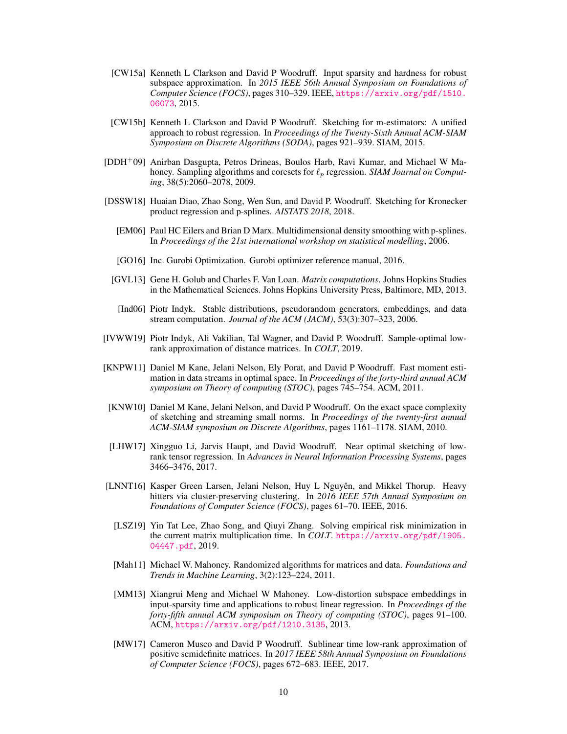- [CW15a] Kenneth L Clarkson and David P Woodruff. Input sparsity and hardness for robust subspace approximation. In *2015 IEEE 56th Annual Symposium on Foundations of Computer Science (FOCS)*, pages 310–329. IEEE, [https://arxiv.org/pdf/1510.](https://arxiv.org/pdf/1510.06073) [06073](https://arxiv.org/pdf/1510.06073), 2015.
- [CW15b] Kenneth L Clarkson and David P Woodruff. Sketching for m-estimators: A unified approach to robust regression. In *Proceedings of the Twenty-Sixth Annual ACM-SIAM Symposium on Discrete Algorithms (SODA)*, pages 921–939. SIAM, 2015.
- [DDH+09] Anirban Dasgupta, Petros Drineas, Boulos Harb, Ravi Kumar, and Michael W Mahoney. Sampling algorithms and coresets for  $\ell_p$  regression. *SIAM Journal on Computing*, 38(5):2060–2078, 2009.
- [DSSW18] Huaian Diao, Zhao Song, Wen Sun, and David P. Woodruff. Sketching for Kronecker product regression and p-splines. *AISTATS 2018*, 2018.
	- [EM06] Paul HC Eilers and Brian D Marx. Multidimensional density smoothing with p-splines. In *Proceedings of the 21st international workshop on statistical modelling*, 2006.
	- [GO16] Inc. Gurobi Optimization. Gurobi optimizer reference manual, 2016.
	- [GVL13] Gene H. Golub and Charles F. Van Loan. *Matrix computations*. Johns Hopkins Studies in the Mathematical Sciences. Johns Hopkins University Press, Baltimore, MD, 2013.
	- [Ind06] Piotr Indyk. Stable distributions, pseudorandom generators, embeddings, and data stream computation. *Journal of the ACM (JACM)*, 53(3):307–323, 2006.
- [IVWW19] Piotr Indyk, Ali Vakilian, Tal Wagner, and David P. Woodruff. Sample-optimal lowrank approximation of distance matrices. In *COLT*, 2019.
- [KNPW11] Daniel M Kane, Jelani Nelson, Ely Porat, and David P Woodruff. Fast moment estimation in data streams in optimal space. In *Proceedings of the forty-third annual ACM symposium on Theory of computing (STOC)*, pages 745–754. ACM, 2011.
- [KNW10] Daniel M Kane, Jelani Nelson, and David P Woodruff. On the exact space complexity of sketching and streaming small norms. In *Proceedings of the twenty-first annual ACM-SIAM symposium on Discrete Algorithms*, pages 1161–1178. SIAM, 2010.
- [LHW17] Xingguo Li, Jarvis Haupt, and David Woodruff. Near optimal sketching of lowrank tensor regression. In *Advances in Neural Information Processing Systems*, pages 3466–3476, 2017.
- [LNNT16] Kasper Green Larsen, Jelani Nelson, Huy L Nguyên, and Mikkel Thorup. Heavy hitters via cluster-preserving clustering. In *2016 IEEE 57th Annual Symposium on Foundations of Computer Science (FOCS)*, pages 61–70. IEEE, 2016.
	- [LSZ19] Yin Tat Lee, Zhao Song, and Qiuyi Zhang. Solving empirical risk minimization in the current matrix multiplication time. In *COLT*. [https://arxiv.org/pdf/1905.](https://arxiv.org/pdf/1905.04447.pdf) [04447.pdf](https://arxiv.org/pdf/1905.04447.pdf), 2019.
	- [Mah11] Michael W. Mahoney. Randomized algorithms for matrices and data. *Foundations and Trends in Machine Learning*, 3(2):123–224, 2011.
	- [MM13] Xiangrui Meng and Michael W Mahoney. Low-distortion subspace embeddings in input-sparsity time and applications to robust linear regression. In *Proceedings of the forty-fifth annual ACM symposium on Theory of computing (STOC)*, pages 91–100. ACM, <https://arxiv.org/pdf/1210.3135>, 2013.
	- [MW17] Cameron Musco and David P Woodruff. Sublinear time low-rank approximation of positive semidefinite matrices. In *2017 IEEE 58th Annual Symposium on Foundations of Computer Science (FOCS)*, pages 672–683. IEEE, 2017.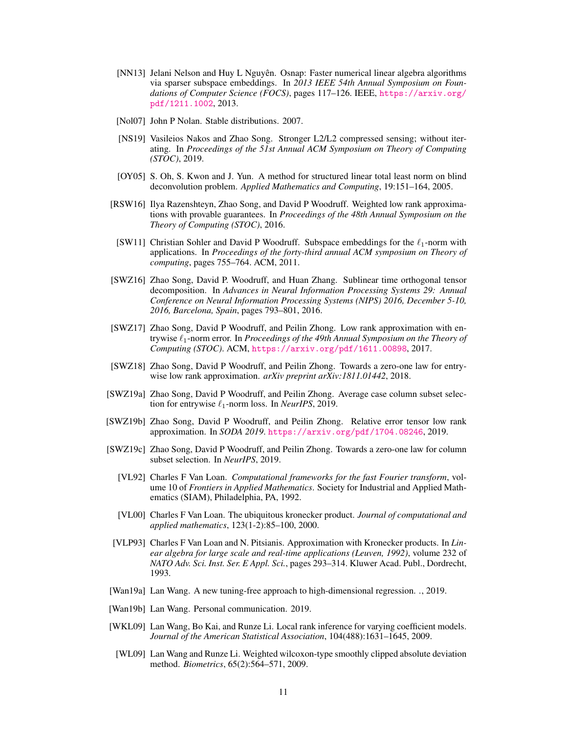- [NN13] Jelani Nelson and Huy L Nguyên. Osnap: Faster numerical linear algebra algorithms via sparser subspace embeddings. In *2013 IEEE 54th Annual Symposium on Foundations of Computer Science (FOCS)*, pages 117–126. IEEE, [https://arxiv.org/](https://arxiv.org/pdf/1211.1002) [pdf/1211.1002](https://arxiv.org/pdf/1211.1002), 2013.
- [Nol07] John P Nolan. Stable distributions. 2007.
- [NS19] Vasileios Nakos and Zhao Song. Stronger L2/L2 compressed sensing; without iterating. In *Proceedings of the 51st Annual ACM Symposium on Theory of Computing (STOC)*, 2019.
- [OY05] S. Oh, S. Kwon and J. Yun. A method for structured linear total least norm on blind deconvolution problem. *Applied Mathematics and Computing*, 19:151–164, 2005.
- [RSW16] Ilya Razenshteyn, Zhao Song, and David P Woodruff. Weighted low rank approximations with provable guarantees. In *Proceedings of the 48th Annual Symposium on the Theory of Computing (STOC)*, 2016.
- [SW11] Christian Sohler and David P Woodruff. Subspace embeddings for the  $\ell_1$ -norm with applications. In *Proceedings of the forty-third annual ACM symposium on Theory of computing*, pages 755–764. ACM, 2011.
- [SWZ16] Zhao Song, David P. Woodruff, and Huan Zhang. Sublinear time orthogonal tensor decomposition. In *Advances in Neural Information Processing Systems 29: Annual Conference on Neural Information Processing Systems (NIPS) 2016, December 5-10, 2016, Barcelona, Spain*, pages 793–801, 2016.
- [SWZ17] Zhao Song, David P Woodruff, and Peilin Zhong. Low rank approximation with entrywise  $\ell_1$ -norm error. In *Proceedings of the 49th Annual Symposium on the Theory of Computing (STOC)*. ACM, <https://arxiv.org/pdf/1611.00898>, 2017.
- [SWZ18] Zhao Song, David P Woodruff, and Peilin Zhong. Towards a zero-one law for entrywise low rank approximation. *arXiv preprint arXiv:1811.01442*, 2018.
- [SWZ19a] Zhao Song, David P Woodruff, and Peilin Zhong. Average case column subset selection for entrywise  $\ell_1$ -norm loss. In *NeurIPS*, 2019.
- [SWZ19b] Zhao Song, David P Woodruff, and Peilin Zhong. Relative error tensor low rank approximation. In *SODA 2019*. <https://arxiv.org/pdf/1704.08246>, 2019.
- [SWZ19c] Zhao Song, David P Woodruff, and Peilin Zhong. Towards a zero-one law for column subset selection. In *NeurIPS*, 2019.
	- [VL92] Charles F Van Loan. *Computational frameworks for the fast Fourier transform*, volume 10 of *Frontiers in Applied Mathematics*. Society for Industrial and Applied Mathematics (SIAM), Philadelphia, PA, 1992.
	- [VL00] Charles F Van Loan. The ubiquitous kronecker product. *Journal of computational and applied mathematics*, 123(1-2):85–100, 2000.
	- [VLP93] Charles F Van Loan and N. Pitsianis. Approximation with Kronecker products. In *Linear algebra for large scale and real-time applications (Leuven, 1992)*, volume 232 of *NATO Adv. Sci. Inst. Ser. E Appl. Sci.*, pages 293–314. Kluwer Acad. Publ., Dordrecht, 1993.
- [Wan19a] Lan Wang. A new tuning-free approach to high-dimensional regression. *.*, 2019.
- [Wan19b] Lan Wang. Personal communication. 2019.
- [WKL09] Lan Wang, Bo Kai, and Runze Li. Local rank inference for varying coefficient models. *Journal of the American Statistical Association*, 104(488):1631–1645, 2009.
- [WL09] Lan Wang and Runze Li. Weighted wilcoxon-type smoothly clipped absolute deviation method. *Biometrics*, 65(2):564–571, 2009.